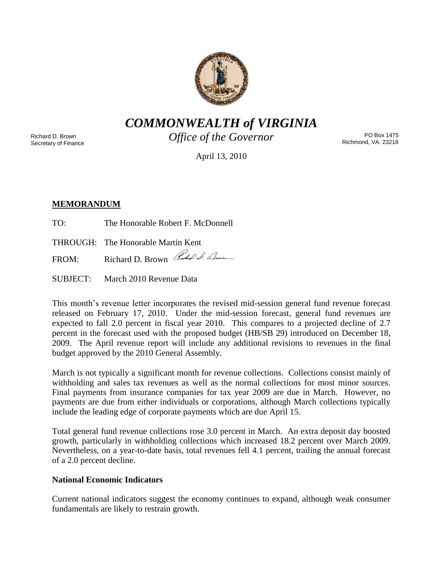

*COMMONWEALTH of VIRGINIA*

Richard D. Brown Secretary of Finance *Office of the Governor*

PO Box 1475 Richmond, VA. 23218

April 13, 2010

# **MEMORANDUM**

TO: The Honorable Robert F. McDonnell

THROUGH: The Honorable Martin Kent

FROM: Richard D. Brown Red & Ame

SUBJECT: March 2010 Revenue Data

This month's revenue letter incorporates the revised mid-session general fund revenue forecast released on February 17, 2010. Under the mid-session forecast, general fund revenues are expected to fall 2.0 percent in fiscal year 2010. This compares to a projected decline of 2.7 percent in the forecast used with the proposed budget (HB/SB 29) introduced on December 18, 2009. The April revenue report will include any additional revisions to revenues in the final budget approved by the 2010 General Assembly.

March is not typically a significant month for revenue collections. Collections consist mainly of withholding and sales tax revenues as well as the normal collections for most minor sources. Final payments from insurance companies for tax year 2009 are due in March. However, no payments are due from either individuals or corporations, although March collections typically include the leading edge of corporate payments which are due April 15.

Total general fund revenue collections rose 3.0 percent in March. An extra deposit day boosted growth, particularly in withholding collections which increased 18.2 percent over March 2009. Nevertheless, on a year-to-date basis, total revenues fell 4.1 percent, trailing the annual forecast of a 2.0 percent decline.

### **National Economic Indicators**

Current national indicators suggest the economy continues to expand, although weak consumer fundamentals are likely to restrain growth.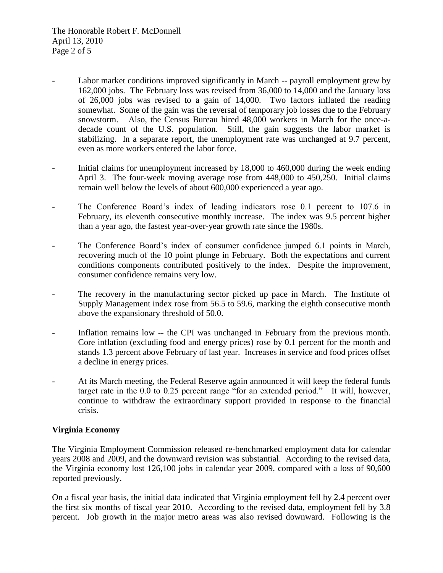- Labor market conditions improved significantly in March -- payroll employment grew by 162,000 jobs. The February loss was revised from 36,000 to 14,000 and the January loss of 26,000 jobs was revised to a gain of 14,000. Two factors inflated the reading somewhat. Some of the gain was the reversal of temporary job losses due to the February snowstorm. Also, the Census Bureau hired 48,000 workers in March for the once-adecade count of the U.S. population. Still, the gain suggests the labor market is stabilizing. In a separate report, the unemployment rate was unchanged at 9.7 percent, even as more workers entered the labor force.
- Initial claims for unemployment increased by 18,000 to 460,000 during the week ending April 3. The four-week moving average rose from 448,000 to 450,250. Initial claims remain well below the levels of about 600,000 experienced a year ago.
- The Conference Board's index of leading indicators rose 0.1 percent to 107.6 in February, its eleventh consecutive monthly increase. The index was 9.5 percent higher than a year ago, the fastest year-over-year growth rate since the 1980s.
- The Conference Board's index of consumer confidence jumped 6.1 points in March, recovering much of the 10 point plunge in February. Both the expectations and current conditions components contributed positively to the index. Despite the improvement, consumer confidence remains very low.
- The recovery in the manufacturing sector picked up pace in March. The Institute of Supply Management index rose from 56.5 to 59.6, marking the eighth consecutive month above the expansionary threshold of 50.0.
- Inflation remains low -- the CPI was unchanged in February from the previous month. Core inflation (excluding food and energy prices) rose by 0.1 percent for the month and stands 1.3 percent above February of last year. Increases in service and food prices offset a decline in energy prices.
- At its March meeting, the Federal Reserve again announced it will keep the federal funds target rate in the 0.0 to 0.25 percent range "for an extended period." It will, however, continue to withdraw the extraordinary support provided in response to the financial crisis.

## **Virginia Economy**

The Virginia Employment Commission released re-benchmarked employment data for calendar years 2008 and 2009, and the downward revision was substantial. According to the revised data, the Virginia economy lost 126,100 jobs in calendar year 2009, compared with a loss of 90,600 reported previously.

On a fiscal year basis, the initial data indicated that Virginia employment fell by 2.4 percent over the first six months of fiscal year 2010. According to the revised data, employment fell by 3.8 percent. Job growth in the major metro areas was also revised downward. Following is the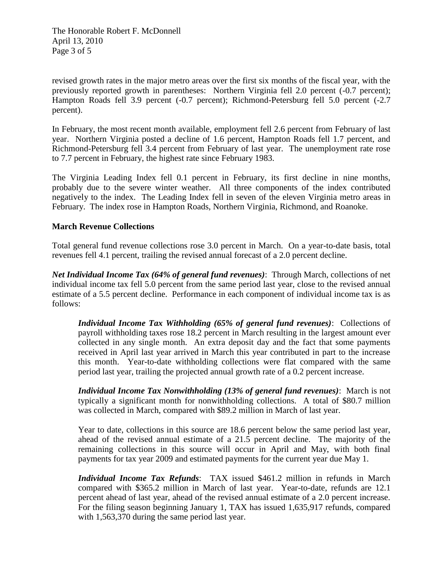The Honorable Robert F. McDonnell April 13, 2010 Page 3 of 5

revised growth rates in the major metro areas over the first six months of the fiscal year, with the previously reported growth in parentheses: Northern Virginia fell 2.0 percent (-0.7 percent); Hampton Roads fell 3.9 percent (-0.7 percent); Richmond-Petersburg fell 5.0 percent (-2.7 percent).

In February, the most recent month available, employment fell 2.6 percent from February of last year. Northern Virginia posted a decline of 1.6 percent, Hampton Roads fell 1.7 percent, and Richmond-Petersburg fell 3.4 percent from February of last year. The unemployment rate rose to 7.7 percent in February, the highest rate since February 1983.

The Virginia Leading Index fell 0.1 percent in February, its first decline in nine months, probably due to the severe winter weather. All three components of the index contributed negatively to the index. The Leading Index fell in seven of the eleven Virginia metro areas in February. The index rose in Hampton Roads, Northern Virginia, Richmond, and Roanoke.

### **March Revenue Collections**

Total general fund revenue collections rose 3.0 percent in March. On a year-to-date basis, total revenues fell 4.1 percent, trailing the revised annual forecast of a 2.0 percent decline.

*Net Individual Income Tax (64% of general fund revenues)*: Through March, collections of net individual income tax fell 5.0 percent from the same period last year, close to the revised annual estimate of a 5.5 percent decline. Performance in each component of individual income tax is as follows:

*Individual Income Tax Withholding (65% of general fund revenues)*: Collections of payroll withholding taxes rose 18.2 percent in March resulting in the largest amount ever collected in any single month. An extra deposit day and the fact that some payments received in April last year arrived in March this year contributed in part to the increase this month. Year-to-date withholding collections were flat compared with the same period last year, trailing the projected annual growth rate of a 0.2 percent increase.

*Individual Income Tax Nonwithholding (13% of general fund revenues)*: March is not typically a significant month for nonwithholding collections. A total of \$80.7 million was collected in March, compared with \$89.2 million in March of last year.

Year to date, collections in this source are 18.6 percent below the same period last year, ahead of the revised annual estimate of a 21.5 percent decline. The majority of the remaining collections in this source will occur in April and May, with both final payments for tax year 2009 and estimated payments for the current year due May 1.

*Individual Income Tax Refunds*: TAX issued \$461.2 million in refunds in March compared with \$365.2 million in March of last year. Year-to-date, refunds are 12.1 percent ahead of last year, ahead of the revised annual estimate of a 2.0 percent increase. For the filing season beginning January 1, TAX has issued 1,635,917 refunds, compared with 1,563,370 during the same period last year.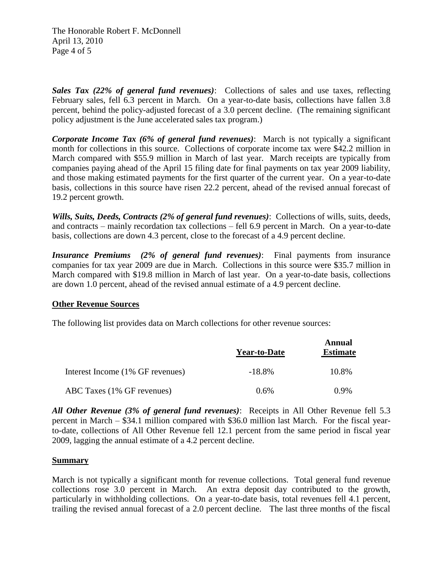The Honorable Robert F. McDonnell April 13, 2010 Page 4 of 5

*Sales Tax (22% of general fund revenues)*: Collections of sales and use taxes, reflecting February sales, fell 6.3 percent in March. On a year-to-date basis, collections have fallen 3.8 percent, behind the policy-adjusted forecast of a 3.0 percent decline. (The remaining significant policy adjustment is the June accelerated sales tax program.)

*Corporate Income Tax (6% of general fund revenues)*: March is not typically a significant month for collections in this source. Collections of corporate income tax were \$42.2 million in March compared with \$55.9 million in March of last year. March receipts are typically from companies paying ahead of the April 15 filing date for final payments on tax year 2009 liability, and those making estimated payments for the first quarter of the current year. On a year-to-date basis, collections in this source have risen 22.2 percent, ahead of the revised annual forecast of 19.2 percent growth.

*Wills, Suits, Deeds, Contracts (2% of general fund revenues)*: Collections of wills, suits, deeds, and contracts – mainly recordation tax collections – fell 6.9 percent in March. On a year-to-date basis, collections are down 4.3 percent, close to the forecast of a 4.9 percent decline.

*Insurance Premiums (2% of general fund revenues)*: Final payments from insurance companies for tax year 2009 are due in March. Collections in this source were \$35.7 million in March compared with \$19.8 million in March of last year. On a year-to-date basis, collections are down 1.0 percent, ahead of the revised annual estimate of a 4.9 percent decline.

### **Other Revenue Sources**

The following list provides data on March collections for other revenue sources:

|                                  | <b>Year-to-Date</b> | Annual<br><b>Estimate</b> |
|----------------------------------|---------------------|---------------------------|
| Interest Income (1% GF revenues) | $-18.8\%$           | 10.8%                     |
| ABC Taxes (1% GF revenues)       | $0.6\%$             | $0.9\%$                   |

*All Other Revenue (3% of general fund revenues)*: Receipts in All Other Revenue fell 5.3 percent in March – \$34.1 million compared with \$36.0 million last March. For the fiscal yearto-date, collections of All Other Revenue fell 12.1 percent from the same period in fiscal year 2009, lagging the annual estimate of a 4.2 percent decline.

#### **Summary**

March is not typically a significant month for revenue collections. Total general fund revenue collections rose 3.0 percent in March. An extra deposit day contributed to the growth, particularly in withholding collections. On a year-to-date basis, total revenues fell 4.1 percent, trailing the revised annual forecast of a 2.0 percent decline. The last three months of the fiscal